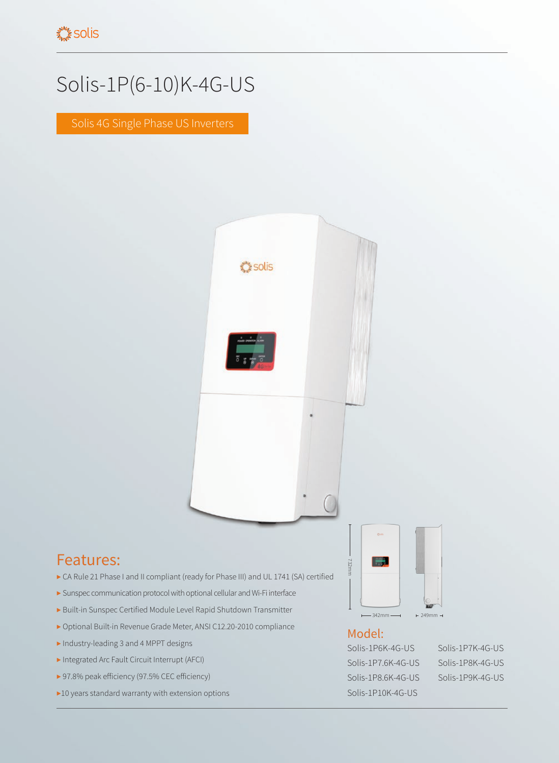## Solis-1P(6-10)K-4G-US

Solis 4G Single Phase US Inverters



## Features:

- ▶ CA Rule 21 Phase I and II compliant (ready for Phase III) and UL 1741 (SA) certified
- ▶ Sunspec communication protocol with optional cellular and Wi-Fi interface
- ▶ Built-in Sunspec Certified Module Level Rapid Shutdown Transmitter
- ▶ Optional Built-in Revenue Grade Meter, ANSI C12.20-2010 compliance
- ▶ Industry-leading 3 and 4 MPPT designs
- ▶ Integrated Arc Fault Circuit Interrupt (AFCI)
- ▶ 97.8% peak efficiency (97.5% CEC efficiency)
- ▶10 years standard warranty with extension options



## Model:

732mm

Solis-1P6K-4G-US Solis-1P7K-4G-US Solis-1P7.6K-4G-US Solis-1P8K-4G-US Solis-1P8.6K-4G-US Solis-1P9K-4G-US Solis-1P10K-4G-US